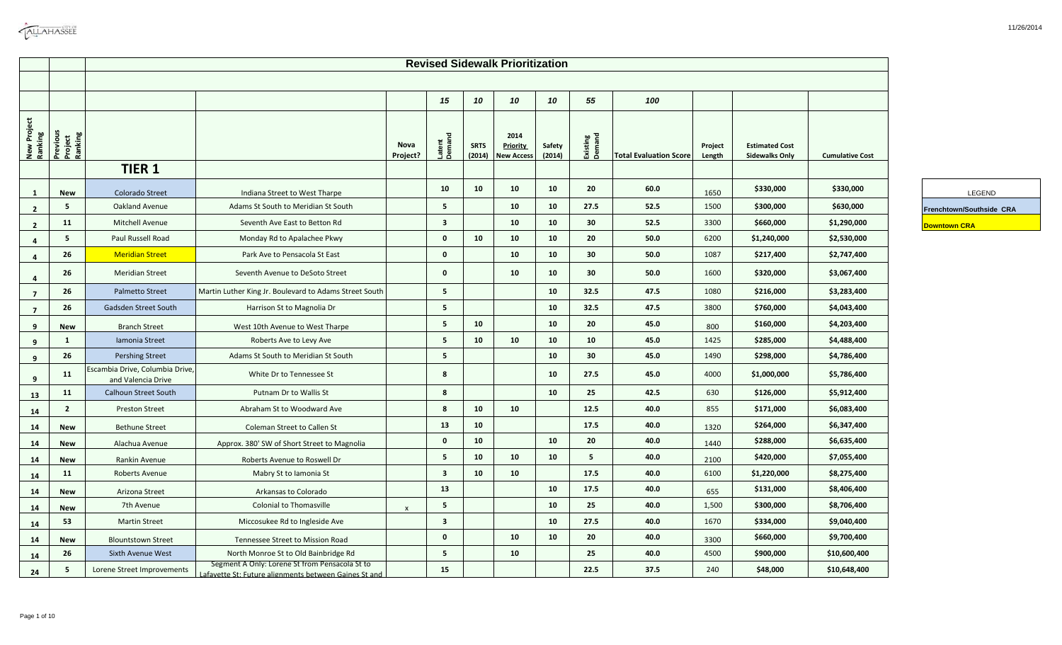| <b>CALLAHASSEE</b> |
|--------------------|
|                    |

|                        |                                |                                                       |                                                                                                         |                  |                         |                       | <b>Revised Sidewalk Prioritization</b>       |                  |                    |                               |                   |                                                |                        |                          |
|------------------------|--------------------------------|-------------------------------------------------------|---------------------------------------------------------------------------------------------------------|------------------|-------------------------|-----------------------|----------------------------------------------|------------------|--------------------|-------------------------------|-------------------|------------------------------------------------|------------------------|--------------------------|
|                        |                                |                                                       |                                                                                                         |                  |                         |                       |                                              |                  |                    |                               |                   |                                                |                        |                          |
|                        |                                |                                                       |                                                                                                         |                  | 15                      | 10                    | 10                                           | 10               | 55                 | 100                           |                   |                                                |                        |                          |
| New Project<br>Ranking | Previous<br>Project<br>Ranking |                                                       |                                                                                                         | Nova<br>Project? | Latent<br>Demand        | <b>SRTS</b><br>(2014) | 2014<br><b>Priority</b><br><b>New Access</b> | Safety<br>(2014) | Existing<br>Demand | <b>Total Evaluation Score</b> | Project<br>Length | <b>Estimated Cost</b><br><b>Sidewalks Only</b> | <b>Cumulative Cost</b> |                          |
|                        |                                | <b>TIER 1</b>                                         |                                                                                                         |                  |                         |                       |                                              |                  |                    |                               |                   |                                                |                        |                          |
| $\mathbf{1}$           | <b>New</b>                     | Colorado Street                                       | Indiana Street to West Tharpe                                                                           |                  | 10                      | 10                    | 10                                           | 10               | 20                 | 60.0                          | 1650              | \$330,000                                      | \$330,000              | LEGEND                   |
| $\overline{2}$         | 5                              | Oakland Avenue                                        | Adams St South to Meridian St South                                                                     |                  | 5                       |                       | 10                                           | 10               | 27.5               | 52.5                          | 1500              | \$300,000                                      | \$630,000              | Frenchtown/Southside CRA |
| $\overline{2}$         | 11                             | Mitchell Avenue                                       | Seventh Ave East to Betton Rd                                                                           |                  | $\overline{\mathbf{3}}$ |                       | 10                                           | 10               | 30 <sup>°</sup>    | 52.5                          | 3300              | \$660,000                                      | \$1,290,000            | <b>Downtown CRA</b>      |
| $\overline{a}$         | 5                              | Paul Russell Road                                     | Monday Rd to Apalachee Pkwy                                                                             |                  | $\mathbf{0}$            | 10                    | 10                                           | 10               | 20                 | 50.0                          | 6200              | \$1,240,000                                    | \$2,530,000            |                          |
| 4                      | 26                             | <b>Meridian Street</b>                                | Park Ave to Pensacola St East                                                                           |                  | $\mathbf 0$             |                       | 10                                           | 10               | 30                 | 50.0                          | 1087              | \$217,400                                      | \$2,747,400            |                          |
| $\overline{4}$         | 26                             | <b>Meridian Street</b>                                | Seventh Avenue to DeSoto Street                                                                         |                  | $\mathbf{0}$            |                       | 10                                           | 10               | 30                 | 50.0                          | 1600              | \$320,000                                      | \$3,067,400            |                          |
| $\overline{7}$         | 26                             | <b>Palmetto Street</b>                                | Martin Luther King Jr. Boulevard to Adams Street South                                                  |                  | $5\phantom{.0}$         |                       |                                              | 10               | 32.5               | 47.5                          | 1080              | \$216,000                                      | \$3,283,400            |                          |
| $\overline{7}$         | 26                             | Gadsden Street South                                  | Harrison St to Magnolia Dr                                                                              |                  | 5                       |                       |                                              | 10               | 32.5               | 47.5                          | 3800              | \$760,000                                      | \$4,043,400            |                          |
| 9                      | New                            | <b>Branch Street</b>                                  | West 10th Avenue to West Tharpe                                                                         |                  | 5                       | 10                    |                                              | 10               | 20                 | 45.0                          | 800               | \$160,000                                      | \$4,203,400            |                          |
| 9                      | 1                              | Iamonia Street                                        | Roberts Ave to Levy Ave                                                                                 |                  | $5\phantom{.0}$         | 10                    | 10                                           | 10               | 10                 | 45.0                          | 1425              | \$285,000                                      | \$4,488,400            |                          |
| 9                      | 26                             | <b>Pershing Street</b>                                | Adams St South to Meridian St South                                                                     |                  | 5 <sub>1</sub>          |                       |                                              | 10               | 30                 | 45.0                          | 1490              | \$298,000                                      | \$4,786,400            |                          |
| 9                      | 11                             | Escambia Drive, Columbia Drive,<br>and Valencia Drive | White Dr to Tennessee St                                                                                |                  | 8                       |                       |                                              | 10               | 27.5               | 45.0                          | 4000              | \$1,000,000                                    | \$5,786,400            |                          |
| 13                     | 11                             | Calhoun Street South                                  | Putnam Dr to Wallis St                                                                                  |                  | 8                       |                       |                                              | 10               | 25                 | 42.5                          | 630               | \$126,000                                      | \$5,912,400            |                          |
| 14                     | $\mathbf{2}$                   | <b>Preston Street</b>                                 | Abraham St to Woodward Ave                                                                              |                  | 8                       | 10                    | 10                                           |                  | 12.5               | 40.0                          | 855               | \$171,000                                      | \$6,083,400            |                          |
| 14                     | New                            | <b>Bethune Street</b>                                 | Coleman Street to Callen St                                                                             |                  | 13                      | 10                    |                                              |                  | 17.5               | 40.0                          | 1320              | \$264,000                                      | \$6,347,400            |                          |
| 14                     | <b>New</b>                     | Alachua Avenue                                        | Approx. 380' SW of Short Street to Magnolia                                                             |                  | $\mathbf 0$             | 10                    |                                              | 10               | 20                 | 40.0                          | 1440              | \$288,000                                      | \$6,635,400            |                          |
| 14                     | <b>New</b>                     | Rankin Avenue                                         | Roberts Avenue to Roswell Dr                                                                            |                  | 5                       | 10                    | 10                                           | 10               | 5                  | 40.0                          | 2100              | \$420,000                                      | \$7,055,400            |                          |
| 14                     | 11                             | Roberts Avenue                                        | Mabry St to Iamonia St                                                                                  |                  | $\overline{\mathbf{3}}$ | 10                    | 10                                           |                  | 17.5               | 40.0                          | 6100              | \$1,220,000                                    | \$8,275,400            |                          |
| 14                     | New                            | Arizona Street                                        | Arkansas to Colorado                                                                                    |                  | 13                      |                       |                                              | 10               | 17.5               | 40.0                          | 655               | \$131,000                                      | \$8,406,400            |                          |
| 14                     | <b>New</b>                     | 7th Avenue                                            | <b>Colonial to Thomasville</b>                                                                          | $\mathsf{x}$     | 5                       |                       |                                              | 10               | 25                 | 40.0                          | 1,500             | \$300,000                                      | \$8,706,400            |                          |
| 14                     | 53                             | <b>Martin Street</b>                                  | Miccosukee Rd to Ingleside Ave                                                                          |                  | $\overline{\mathbf{3}}$ |                       |                                              | 10               | 27.5               | 40.0                          | 1670              | \$334,000                                      | \$9,040,400            |                          |
| 14                     | <b>New</b>                     | <b>Blountstown Street</b>                             | Tennessee Street to Mission Road                                                                        |                  | $\mathbf 0$             |                       | 10                                           | 10               | 20                 | 40.0                          | 3300              | \$660,000                                      | \$9,700,400            |                          |
| 14                     | 26                             | Sixth Avenue West                                     | North Monroe St to Old Bainbridge Rd                                                                    |                  | 5                       |                       | 10                                           |                  | 25                 | 40.0                          | 4500              | \$900,000                                      | \$10,600,400           |                          |
| 24                     | 5                              | Lorene Street Improvements                            | Segment A Only: Lorene St from Pensacola St to<br>Lafavette St: Euture alignments hetween Gaines St and |                  | 15                      |                       |                                              |                  | 22.5               | 37.5                          | 240               | \$48,000                                       | \$10,648,400           |                          |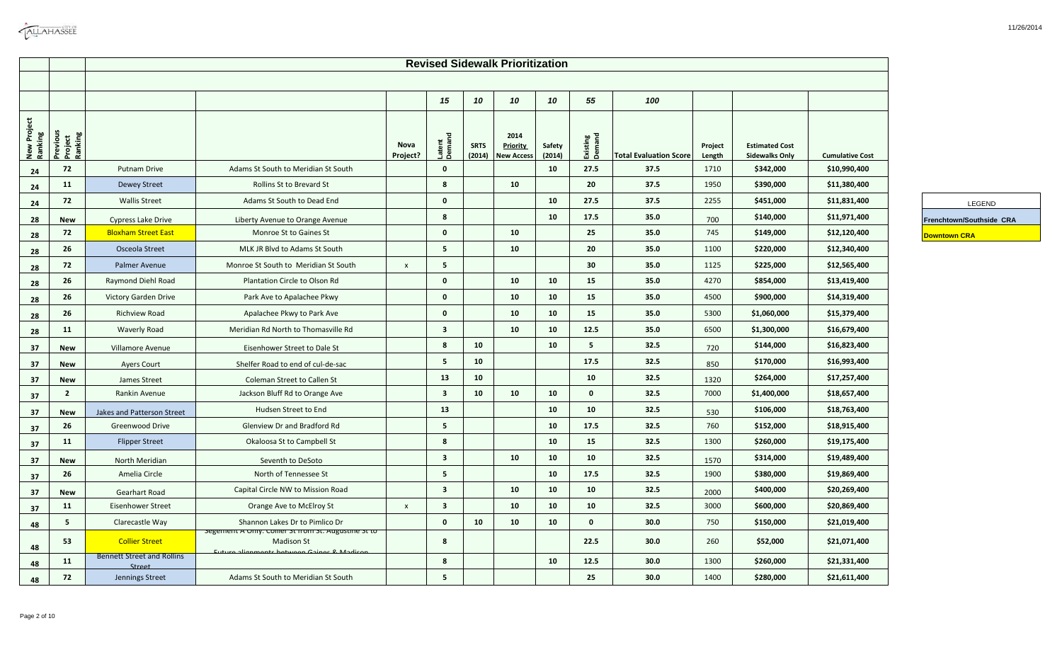|                        |                                |                                             |                                                                                                                     |                  |                         |                       | <b>Revised Sidewalk Prioritization</b>       |                  |                    |                               |                   |                                                |                        |                          |
|------------------------|--------------------------------|---------------------------------------------|---------------------------------------------------------------------------------------------------------------------|------------------|-------------------------|-----------------------|----------------------------------------------|------------------|--------------------|-------------------------------|-------------------|------------------------------------------------|------------------------|--------------------------|
|                        |                                |                                             |                                                                                                                     |                  | 15                      | 10                    | 10                                           | 10               | 55                 | 100                           |                   |                                                |                        |                          |
| New Project<br>Ranking | Previous<br>Project<br>Ranking |                                             |                                                                                                                     | Nova<br>Project? | Latent<br>Demand        | <b>SRTS</b><br>(2014) | 2014<br><b>Priority</b><br><b>New Access</b> | Safety<br>(2014) | Existing<br>Demand | <b>Total Evaluation Score</b> | Project<br>Length | <b>Estimated Cost</b><br><b>Sidewalks Only</b> | <b>Cumulative Cost</b> |                          |
| 24                     | 72                             | <b>Putnam Drive</b>                         | Adams St South to Meridian St South                                                                                 |                  | $\mathbf 0$             |                       |                                              | 10               | 27.5               | 37.5                          | 1710              | \$342,000                                      | \$10,990,400           |                          |
| 24                     | 11                             | <b>Dewey Street</b>                         | Rollins St to Brevard St                                                                                            |                  | 8                       |                       | 10                                           |                  | 20                 | 37.5                          | 1950              | \$390,000                                      | \$11,380,400           |                          |
| 24                     | 72                             | <b>Wallis Street</b>                        | Adams St South to Dead End                                                                                          |                  | $\mathbf 0$             |                       |                                              | 10               | 27.5               | 37.5                          | 2255              | \$451,000                                      | \$11,831,400           | LEGEND                   |
| 28                     | New                            | <b>Cypress Lake Drive</b>                   | Liberty Avenue to Orange Avenue                                                                                     |                  | 8                       |                       |                                              | 10               | 17.5               | 35.0                          | 700               | \$140,000                                      | \$11,971,400           | Frenchtown/Southside CRA |
| 28                     | 72                             | <b>Bloxham Street East</b>                  | Monroe St to Gaines St                                                                                              |                  | $\mathbf{0}$            |                       | 10                                           |                  | 25                 | 35.0                          | 745               | \$149,000                                      | \$12,120,400           | <b>Downtown CRA</b>      |
| 28                     | 26                             | Osceola Street                              | MLK JR Blyd to Adams St South                                                                                       |                  | 5 <sup>1</sup>          |                       | 10                                           |                  | 20                 | 35.0                          | 1100              | \$220,000                                      | \$12,340,400           |                          |
| 28                     | 72                             | Palmer Avenue                               | Monroe St South to Meridian St South                                                                                | $\pmb{\times}$   | 5                       |                       |                                              |                  | 30 <sub>2</sub>    | 35.0                          | 1125              | \$225,000                                      | \$12,565,400           |                          |
| 28                     | 26                             | Raymond Diehl Road                          | Plantation Circle to Olson Rd                                                                                       |                  | $\mathbf 0$             |                       | 10                                           | 10               | 15                 | 35.0                          | 4270              | \$854,000                                      | \$13,419,400           |                          |
| 28                     | 26                             | Victory Garden Drive                        | Park Ave to Apalachee Pkwy                                                                                          |                  | $\mathbf 0$             |                       | 10                                           | 10               | 15                 | 35.0                          | 4500              | \$900,000                                      | \$14,319,400           |                          |
| 28                     | 26                             | <b>Richview Road</b>                        | Apalachee Pkwy to Park Ave                                                                                          |                  | $\bf{0}$                |                       | 10                                           | 10               | 15                 | 35.0                          | 5300              | \$1,060,000                                    | \$15,379,400           |                          |
| 28                     | 11                             | <b>Waverly Road</b>                         | Meridian Rd North to Thomasville Rd                                                                                 |                  | $\overline{\mathbf{3}}$ |                       | 10                                           | 10               | 12.5               | 35.0                          | 6500              | \$1,300,000                                    | \$16,679,400           |                          |
| 37                     | <b>New</b>                     | Villamore Avenue                            | Eisenhower Street to Dale St                                                                                        |                  | 8                       | 10                    |                                              | 10               | 5 <sub>1</sub>     | 32.5                          | 720               | \$144,000                                      | \$16,823,400           |                          |
| 37                     | <b>New</b>                     | <b>Ayers Court</b>                          | Shelfer Road to end of cul-de-sac                                                                                   |                  | 5                       | 10                    |                                              |                  | 17.5               | 32.5                          | 850               | \$170,000                                      | \$16,993,400           |                          |
| 37                     | New                            | James Street                                | Coleman Street to Callen St                                                                                         |                  | 13                      | 10                    |                                              |                  | 10                 | 32.5                          | 1320              | \$264,000                                      | \$17,257,400           |                          |
| 37                     | $\overline{2}$                 | Rankin Avenue                               | Jackson Bluff Rd to Orange Ave                                                                                      |                  | $\overline{\mathbf{3}}$ | 10                    | 10                                           | 10               | $\mathbf 0$        | 32.5                          | 7000              | \$1,400,000                                    | \$18,657,400           |                          |
| 37                     | <b>New</b>                     | Jakes and Patterson Street                  | Hudsen Street to End                                                                                                |                  | 13                      |                       |                                              | 10               | 10                 | 32.5                          | 530               | \$106,000                                      | \$18,763,400           |                          |
| 37                     | 26                             | Greenwood Drive                             | Glenview Dr and Bradford Rd                                                                                         |                  | 5                       |                       |                                              | 10               | 17.5               | 32.5                          | 760               | \$152,000                                      | \$18,915,400           |                          |
| 37                     | 11                             | <b>Flipper Street</b>                       | Okaloosa St to Campbell St                                                                                          |                  | 8                       |                       |                                              | 10               | 15                 | 32.5                          | 1300              | \$260,000                                      | \$19,175,400           |                          |
| 37                     | New                            | North Meridian                              | Seventh to DeSoto                                                                                                   |                  | $\overline{\mathbf{3}}$ |                       | 10                                           | 10               | 10                 | 32.5                          | 1570              | \$314,000                                      | \$19,489,400           |                          |
| 37                     | 26                             | Amelia Circle                               | North of Tennessee St                                                                                               |                  | 5 <sup>5</sup>          |                       |                                              | 10               | 17.5               | 32.5                          | 1900              | \$380,000                                      | \$19,869,400           |                          |
| -37                    | <b>New</b>                     | Gearhart Road                               | Capital Circle NW to Mission Road                                                                                   |                  | $\overline{\mathbf{3}}$ |                       | 10                                           | 10               | 10                 | 32.5                          | 2000              | \$400,000                                      | \$20,269,400           |                          |
| 37                     | 11                             | <b>Eisenhower Street</b>                    | Orange Ave to McElroy St                                                                                            | $\pmb{\times}$   | $\overline{\mathbf{3}}$ |                       | 10                                           | 10               | 10                 | 32.5                          | 3000              | \$600,000                                      | \$20,869,400           |                          |
| 48                     | 5                              | Clarecastle Way                             | Shannon Lakes Dr to Pimlico Dr                                                                                      |                  | $\mathbf{0}$            | 10                    | 10                                           | 10               | $\mathbf{0}$       | 30.0                          | 750               | \$150,000                                      | \$21,019,400           |                          |
| 48                     | 53                             | <b>Collier Street</b>                       | segement A Uniy: Comer St from St. Augustine St to<br><b>Madison St</b><br>uture alignments hetween Gaines & Madisc |                  | 8                       |                       |                                              |                  | 22.5               | 30.0                          | 260               | \$52,000                                       | \$21,071,400           |                          |
| 48                     | 11                             | <b>Bennett Street and Rollins</b><br>Street |                                                                                                                     |                  | 8                       |                       |                                              | 10               | 12.5               | 30.0                          | 1300              | \$260,000                                      | \$21,331,400           |                          |
| 48                     | 72                             | Jennings Street                             | Adams St South to Meridian St South                                                                                 |                  | 5                       |                       |                                              |                  | 25                 | 30.0                          | 1400              | \$280,000                                      | \$21,611,400           |                          |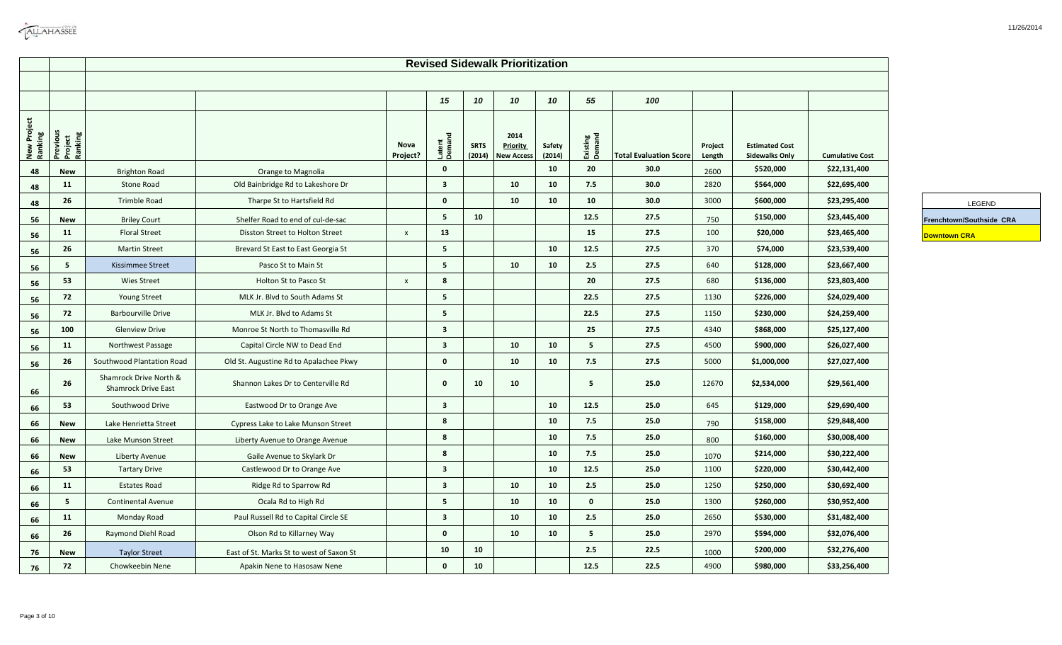|                        |                                |                                                      |                                          |                           |                         |                       | <b>Revised Sidewalk Prioritization</b>       |                  |                    |                               |                   |                                                |                        |                          |
|------------------------|--------------------------------|------------------------------------------------------|------------------------------------------|---------------------------|-------------------------|-----------------------|----------------------------------------------|------------------|--------------------|-------------------------------|-------------------|------------------------------------------------|------------------------|--------------------------|
|                        |                                |                                                      |                                          |                           |                         |                       |                                              |                  |                    |                               |                   |                                                |                        |                          |
|                        |                                |                                                      |                                          |                           | 15                      | 10                    | 10                                           | 10               | 55                 | 100                           |                   |                                                |                        |                          |
| New Project<br>Ranking | Previous<br>Project<br>Ranking |                                                      |                                          | Nova<br>Project?          | Latent<br>Demand        | <b>SRTS</b><br>(2014) | 2014<br><b>Priority</b><br><b>New Access</b> | Safety<br>(2014) | Existing<br>Demand | <b>Total Evaluation Score</b> | Project<br>Length | <b>Estimated Cost</b><br><b>Sidewalks Only</b> | <b>Cumulative Cost</b> |                          |
| 48                     | New                            | <b>Brighton Road</b>                                 | Orange to Magnolia                       |                           | $\mathbf 0$             |                       |                                              | 10               | 20                 | 30.0                          | 2600              | \$520,000                                      | \$22,131,400           |                          |
| 48                     | 11                             | Stone Road                                           | Old Bainbridge Rd to Lakeshore Dr        |                           | $\overline{\mathbf{3}}$ |                       | 10                                           | 10               | 7.5                | 30.0                          | 2820              | \$564,000                                      | \$22,695,400           |                          |
| 48                     | 26                             | Trimble Road                                         | Tharpe St to Hartsfield Rd               |                           | $\bf{0}$                |                       | 10                                           | 10               | 10                 | 30.0                          | 3000              | \$600,000                                      | \$23,295,400           | LEGEND                   |
| 56                     | New                            | <b>Briley Court</b>                                  | Shelfer Road to end of cul-de-sac        |                           | 5                       | 10                    |                                              |                  | 12.5               | 27.5                          | 750               | \$150,000                                      | \$23,445,400           | Frenchtown/Southside CRA |
| 56                     | 11                             | <b>Floral Street</b>                                 | Disston Street to Holton Street          | $\boldsymbol{\mathsf{x}}$ | 13                      |                       |                                              |                  | 15                 | 27.5                          | 100               | \$20,000                                       | \$23,465,400           | <b>Downtown CRA</b>      |
| 56                     | 26                             | <b>Martin Street</b>                                 | Brevard St East to East Georgia St       |                           | $\overline{\mathbf{5}}$ |                       |                                              | 10               | 12.5               | 27.5                          | 370               | \$74,000                                       | \$23,539,400           |                          |
| 56                     | 5                              | <b>Kissimmee Street</b>                              | Pasco St to Main St                      |                           | $\overline{\mathbf{5}}$ |                       | 10                                           | 10               | 2.5                | 27.5                          | 640               | \$128,000                                      | \$23,667,400           |                          |
| 56                     | 53                             | <b>Wies Street</b>                                   | Holton St to Pasco St                    | $\mathsf{X}$              | 8                       |                       |                                              |                  | 20                 | 27.5                          | 680               | \$136,000                                      | \$23,803,400           |                          |
| 56                     | 72                             | <b>Young Street</b>                                  | MLK Jr. Blvd to South Adams St           |                           | $5\overline{5}$         |                       |                                              |                  | 22.5               | 27.5                          | 1130              | \$226,000                                      | \$24,029,400           |                          |
| 56                     | 72                             | <b>Barbourville Drive</b>                            | MLK Jr. Blvd to Adams St                 |                           | 5                       |                       |                                              |                  | 22.5               | 27.5                          | 1150              | \$230,000                                      | \$24,259,400           |                          |
| 56                     | 100                            | <b>Glenview Drive</b>                                | Monroe St North to Thomasville Rd        |                           | $\overline{\mathbf{3}}$ |                       |                                              |                  | 25                 | 27.5                          | 4340              | \$868,000                                      | \$25,127,400           |                          |
| 56                     | 11                             | Northwest Passage                                    | Capital Circle NW to Dead End            |                           | $\overline{\mathbf{3}}$ |                       | 10                                           | 10               | 5 <sub>1</sub>     | 27.5                          | 4500              | \$900,000                                      | \$26,027,400           |                          |
| 56                     | 26                             | Southwood Plantation Road                            | Old St. Augustine Rd to Apalachee Pkwy   |                           | $\mathbf 0$             |                       | 10                                           | 10               | 7.5                | 27.5                          | 5000              | \$1,000,000                                    | \$27,027,400           |                          |
| 66                     | 26                             | Shamrock Drive North &<br><b>Shamrock Drive East</b> | Shannon Lakes Dr to Centerville Rd       |                           | $\mathbf{0}$            | 10                    | 10                                           |                  | 5 <sub>1</sub>     | 25.0                          | 12670             | \$2,534,000                                    | \$29,561,400           |                          |
| 66                     | 53                             | Southwood Drive                                      | Eastwood Dr to Orange Ave                |                           | $\overline{\mathbf{3}}$ |                       |                                              | 10               | 12.5               | 25.0                          | 645               | \$129,000                                      | \$29,690,400           |                          |
| 66                     | <b>New</b>                     | Lake Henrietta Street                                | Cypress Lake to Lake Munson Street       |                           | 8                       |                       |                                              | 10               | 7.5                | 25.0                          | 790               | \$158,000                                      | \$29,848,400           |                          |
| 66                     | <b>New</b>                     | Lake Munson Street                                   | Liberty Avenue to Orange Avenue          |                           | 8                       |                       |                                              | 10               | 7.5                | 25.0                          | 800               | \$160,000                                      | \$30,008,400           |                          |
| 66                     | <b>New</b>                     | Liberty Avenue                                       | Gaile Avenue to Skylark Dr               |                           | 8                       |                       |                                              | 10               | 7.5                | 25.0                          | 1070              | \$214,000                                      | \$30,222,400           |                          |
| 66                     | 53                             | <b>Tartary Drive</b>                                 | Castlewood Dr to Orange Ave              |                           | $\overline{\mathbf{3}}$ |                       |                                              | 10               | 12.5               | 25.0                          | 1100              | \$220,000                                      | \$30,442,400           |                          |
| 66                     | 11                             | <b>Estates Road</b>                                  | Ridge Rd to Sparrow Rd                   |                           | $\overline{\mathbf{3}}$ |                       | 10                                           | 10               | 2.5                | 25.0                          | 1250              | \$250,000                                      | \$30,692,400           |                          |
| 66                     | 5 <sub>1</sub>                 | <b>Continental Avenue</b>                            | Ocala Rd to High Rd                      |                           | 5                       |                       | 10                                           | 10               | $\mathbf 0$        | 25.0                          | 1300              | \$260,000                                      | \$30,952,400           |                          |
| 66                     | 11                             | Monday Road                                          | Paul Russell Rd to Capital Circle SE     |                           | $\overline{\mathbf{3}}$ |                       | 10                                           | 10               | 2.5                | 25.0                          | 2650              | \$530,000                                      | \$31,482,400           |                          |
| 66                     | 26                             | Raymond Diehl Road                                   | Olson Rd to Killarney Way                |                           | $\mathbf 0$             |                       | 10                                           | 10               | 5                  | 25.0                          | 2970              | \$594,000                                      | \$32,076,400           |                          |
| 76                     | <b>New</b>                     | <b>Taylor Street</b>                                 | East of St. Marks St to west of Saxon St |                           | 10                      | 10                    |                                              |                  | 2.5                | 22.5                          | 1000              | \$200,000                                      | \$32,276,400           |                          |
| 76                     | 72                             | Chowkeebin Nene                                      | Apakin Nene to Hasosaw Nene              |                           | $\mathbf{0}$            | 10                    |                                              |                  | 12.5               | 22.5                          | 4900              | \$980,000                                      | \$33,256,400           |                          |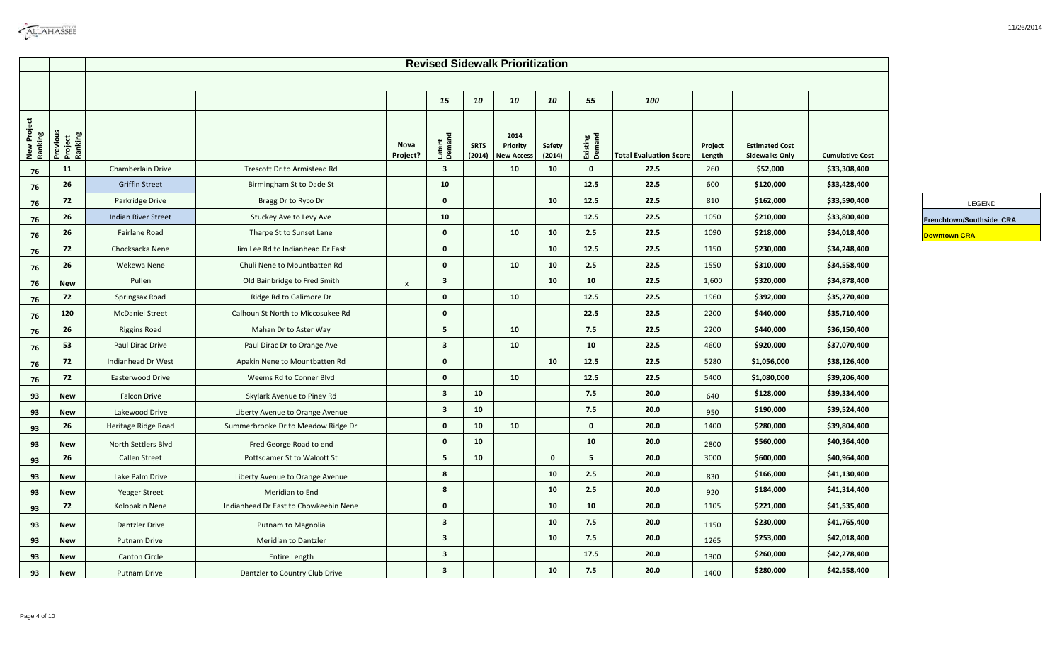|                        |                                   |                            |                                       |                  |                         |                       | <b>Revised Sidewalk Prioritization</b>       |                  |                    |                               |                   |                                                |                        |                          |  |
|------------------------|-----------------------------------|----------------------------|---------------------------------------|------------------|-------------------------|-----------------------|----------------------------------------------|------------------|--------------------|-------------------------------|-------------------|------------------------------------------------|------------------------|--------------------------|--|
|                        |                                   |                            |                                       |                  | 15                      | 10                    | 10                                           | 10               | 55                 | 100                           |                   |                                                |                        |                          |  |
|                        |                                   |                            |                                       |                  |                         |                       |                                              |                  |                    |                               |                   |                                                |                        |                          |  |
| New Project<br>Ranking | <b>Buppen</b><br>Bupped<br>Bupped |                            |                                       | Nova<br>Project? | Latent<br>Demand        | <b>SRTS</b><br>(2014) | 2014<br><b>Priority</b><br><b>New Access</b> | Safety<br>(2014) | Existing<br>Demand | <b>Total Evaluation Score</b> | Project<br>Length | <b>Estimated Cost</b><br><b>Sidewalks Only</b> | <b>Cumulative Cost</b> |                          |  |
| 76                     | 11                                | Chamberlain Drive          | Trescott Dr to Armistead Rd           |                  | $\overline{\mathbf{3}}$ |                       | 10                                           | 10               | $\mathbf 0$        | 22.5                          | 260               | \$52,000                                       | \$33,308,400           |                          |  |
| 76                     | 26                                | <b>Griffin Street</b>      | Birmingham St to Dade St              |                  | 10                      |                       |                                              |                  | 12.5               | 22.5                          | 600               | \$120,000                                      | \$33,428,400           |                          |  |
| 76                     | 72                                | Parkridge Drive            | Bragg Dr to Ryco Dr                   |                  | $\bf{0}$                |                       |                                              | 10               | 12.5               | 22.5                          | 810               | \$162,000                                      | \$33,590,400           |                          |  |
| 76                     | 26                                | <b>Indian River Street</b> | Stuckey Ave to Levy Ave               |                  | 10                      |                       |                                              |                  | 12.5               | 22.5                          | 1050              | \$210,000                                      | \$33,800,400           | Frenchtown/Southside CRA |  |
| 76                     | 26                                | Fairlane Road              | Tharpe St to Sunset Lane              |                  | $\mathbf 0$             |                       | 10                                           | 10               | 2.5                | 22.5                          | 1090              | \$218,000                                      | \$34,018,400           | <b>Downtown CRA</b>      |  |
| 76                     | 72                                | Chocksacka Nene            | Jim Lee Rd to Indianhead Dr East      |                  | $\mathbf 0$             |                       |                                              | 10               | 12.5               | 22.5                          | 1150              | \$230,000                                      | \$34,248,400           |                          |  |
| 76                     | 26                                | Wekewa Nene                | Chuli Nene to Mountbatten Rd          |                  | $\mathbf 0$             |                       | 10                                           | 10               | 2.5                | 22.5                          | 1550              | \$310,000                                      | \$34,558,400           |                          |  |
| 76                     | <b>New</b>                        | Pullen                     | Old Bainbridge to Fred Smith          | $\mathsf{x}$     | $\overline{\mathbf{3}}$ |                       |                                              | 10               | 10                 | 22.5                          | 1,600             | \$320,000                                      | \$34,878,400           |                          |  |
| 76                     | 72                                | Springsax Road             | Ridge Rd to Galimore Dr               |                  | $\mathbf 0$             |                       | 10                                           |                  | 12.5               | 22.5                          | 1960              | \$392,000                                      | \$35,270,400           |                          |  |
| 76                     | 120                               | <b>McDaniel Street</b>     | Calhoun St North to Miccosukee Rd     |                  | $\mathbf 0$             |                       |                                              |                  | 22.5               | 22.5                          | 2200              | \$440,000                                      | \$35,710,400           |                          |  |
| 76                     | 26                                | <b>Riggins Road</b>        | Mahan Dr to Aster Way                 |                  | $\overline{\mathbf{5}}$ |                       | 10                                           |                  | 7.5                | 22.5                          | 2200              | \$440,000                                      | \$36,150,400           |                          |  |
| 76                     | 53                                | Paul Dirac Drive           | Paul Dirac Dr to Orange Ave           |                  | $\overline{\mathbf{3}}$ |                       | 10                                           |                  | 10                 | 22.5                          | 4600              | \$920,000                                      | \$37,070,400           |                          |  |
| 76                     | 72                                | Indianhead Dr West         | Apakin Nene to Mountbatten Rd         |                  | $\mathbf 0$             |                       |                                              | 10               | 12.5               | 22.5                          | 5280              | \$1,056,000                                    | \$38,126,400           |                          |  |
| 76                     | 72                                | Easterwood Drive           | Weems Rd to Conner Blvd               |                  | $\mathbf 0$             |                       | 10                                           |                  | 12.5               | 22.5                          | 5400              | \$1,080,000                                    | \$39,206,400           |                          |  |
| 93                     | New                               | <b>Falcon Drive</b>        | Skylark Avenue to Piney Rd            |                  | $\overline{\mathbf{3}}$ | 10                    |                                              |                  | 7.5                | 20.0                          | 640               | \$128,000                                      | \$39,334,400           |                          |  |
| 93                     | <b>New</b>                        | Lakewood Drive             | Liberty Avenue to Orange Avenue       |                  | $\overline{\mathbf{3}}$ | 10                    |                                              |                  | 7.5                | 20.0                          | 950               | \$190,000                                      | \$39,524,400           |                          |  |
| 93                     | 26                                | Heritage Ridge Road        | Summerbrooke Dr to Meadow Ridge Dr    |                  | $\mathbf 0$             | 10                    | 10                                           |                  | $\mathbf 0$        | 20.0                          | 1400              | \$280,000                                      | \$39,804,400           |                          |  |
| 93                     | <b>New</b>                        | North Settlers Blvd        | Fred George Road to end               |                  | $\pmb{0}$               | 10                    |                                              |                  | 10                 | 20.0                          | 2800              | \$560,000                                      | \$40,364,400           |                          |  |
| 93                     | 26                                | <b>Callen Street</b>       | Pottsdamer St to Walcott St           |                  | $\overline{\mathbf{5}}$ | 10                    |                                              | $\mathbf{0}$     | 5                  | 20.0                          | 3000              | \$600,000                                      | \$40,964,400           |                          |  |
| 93                     | <b>New</b>                        | Lake Palm Drive            | Liberty Avenue to Orange Avenue       |                  | 8                       |                       |                                              | 10               | 2.5                | 20.0                          | 830               | \$166,000                                      | \$41,130,400           |                          |  |
| 93                     | <b>New</b>                        | <b>Yeager Street</b>       | Meridian to End                       |                  | 8                       |                       |                                              | 10               | 2.5                | 20.0                          | 920               | \$184,000                                      | \$41,314,400           |                          |  |
| 93                     | 72                                | Kolopakin Nene             | Indianhead Dr East to Chowkeebin Nene |                  | $\mathbf 0$             |                       |                                              | 10               | 10                 | 20.0                          | 1105              | \$221,000                                      | \$41,535,400           |                          |  |
| 93                     | <b>New</b>                        | <b>Dantzler Drive</b>      | Putnam to Magnolia                    |                  | $\overline{\mathbf{3}}$ |                       |                                              | 10               | 7.5                | 20.0                          | 1150              | \$230,000                                      | \$41,765,400           |                          |  |
| 93                     | <b>New</b>                        | <b>Putnam Drive</b>        | <b>Meridian to Dantzler</b>           |                  | $\overline{\mathbf{3}}$ |                       |                                              | 10               | 7.5                | 20.0                          | 1265              | \$253,000                                      | \$42,018,400           |                          |  |
| 93                     | <b>New</b>                        | <b>Canton Circle</b>       | Entire Length                         |                  | $\overline{\mathbf{3}}$ |                       |                                              |                  | 17.5               | 20.0                          | 1300              | \$260,000                                      | \$42,278,400           |                          |  |
| 93                     | <b>New</b>                        | <b>Putnam Drive</b>        | Dantzler to Country Club Drive        |                  | $\overline{\mathbf{3}}$ |                       |                                              | 10               | 7.5                | 20.0                          | 1400              | \$280,000                                      | \$42,558,400           |                          |  |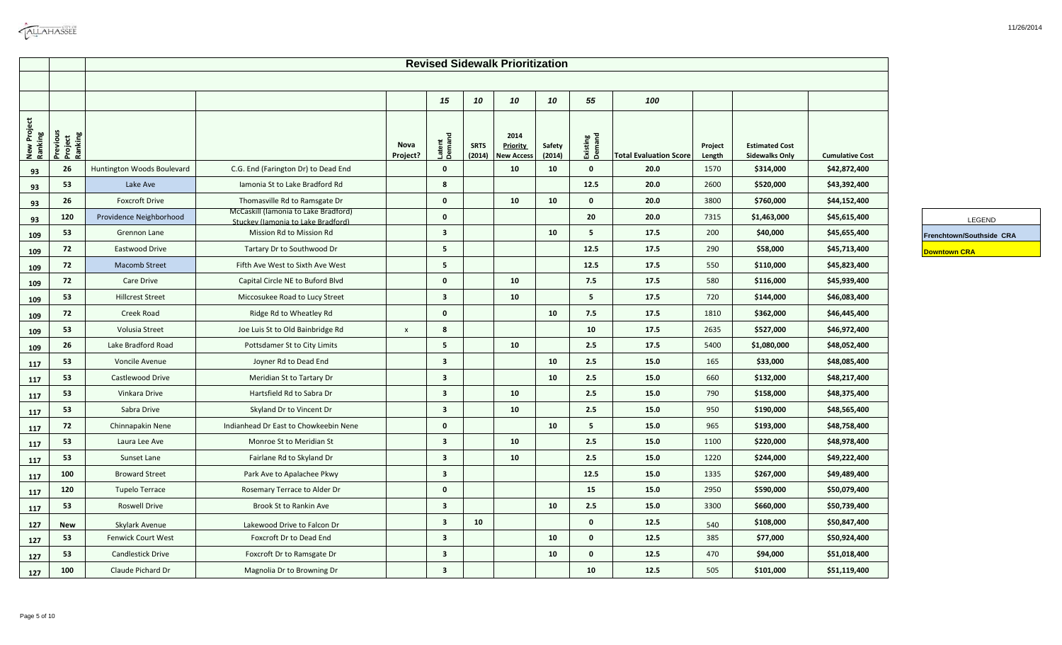| <b>CALLAHASSEE</b> |
|--------------------|
|                    |

|                        |                                |                            |                                                                            |                           |                         |                       | <b>Revised Sidewalk Prioritization</b>       |                  |                    |                               |                   |                                                |                        |                          |
|------------------------|--------------------------------|----------------------------|----------------------------------------------------------------------------|---------------------------|-------------------------|-----------------------|----------------------------------------------|------------------|--------------------|-------------------------------|-------------------|------------------------------------------------|------------------------|--------------------------|
|                        |                                |                            |                                                                            |                           | 15                      | 10                    | 10                                           | 10               | 55                 | 100                           |                   |                                                |                        |                          |
| New Project<br>Ranking | Previous<br>Project<br>Ranking |                            |                                                                            | Nova<br>Project?          | Latent<br>Demand        | <b>SRTS</b><br>(2014) | 2014<br><b>Priority</b><br><b>New Access</b> | Safety<br>(2014) | Existing<br>Demand | <b>Total Evaluation Score</b> | Project<br>Length | <b>Estimated Cost</b><br><b>Sidewalks Only</b> | <b>Cumulative Cost</b> |                          |
| 93                     | 26                             | Huntington Woods Boulevard | C.G. End (Farington Dr) to Dead End                                        |                           | $\mathbf 0$             |                       | 10                                           | 10               | $\mathbf{0}$       | 20.0                          | 1570              | \$314,000                                      | \$42,872,400           |                          |
| 93                     | 53                             | Lake Ave                   | Iamonia St to Lake Bradford Rd                                             |                           | 8                       |                       |                                              |                  | 12.5               | 20.0                          | 2600              | \$520,000                                      | \$43,392,400           |                          |
| 93                     | 26                             | <b>Foxcroft Drive</b>      | Thomasville Rd to Ramsgate Dr                                              |                           | $\mathbf{0}$            |                       | 10                                           | 10               | $\mathbf 0$        | 20.0                          | 3800              | \$760,000                                      | \$44,152,400           |                          |
| 93                     | 120                            | Providence Neighborhood    | McCaskill (Iamonia to Lake Bradford)<br>Stuckey (Jamonia to Lake Bradford) |                           | $\mathbf 0$             |                       |                                              |                  | 20                 | 20.0                          | 7315              | \$1,463,000                                    | \$45,615,400           | LEGEND                   |
| 109                    | 53                             | Grennon Lane               | Mission Rd to Mission Rd                                                   |                           | $\overline{\mathbf{3}}$ |                       |                                              | 10               | 5                  | 17.5                          | 200               | \$40,000                                       | \$45,655,400           | Frenchtown/Southside CRA |
| 109                    | 72                             | Eastwood Drive             | Tartary Dr to Southwood Dr                                                 |                           | 5                       |                       |                                              |                  | 12.5               | 17.5                          | 290               | \$58,000                                       | \$45,713,400           | <b>Downtown CRA</b>      |
| 109                    | 72                             | <b>Macomb Street</b>       | Fifth Ave West to Sixth Ave West                                           |                           | 5                       |                       |                                              |                  | 12.5               | 17.5                          | 550               | \$110,000                                      | \$45,823,400           |                          |
| 109                    | 72                             | <b>Care Drive</b>          | Capital Circle NE to Buford Blvd                                           |                           | $\mathbf 0$             |                       | 10                                           |                  | 7.5                | 17.5                          | 580               | \$116,000                                      | \$45,939,400           |                          |
| 109                    | 53                             | <b>Hillcrest Street</b>    | Miccosukee Road to Lucy Street                                             |                           | $\overline{\mathbf{3}}$ |                       | 10                                           |                  | 5                  | 17.5                          | 720               | \$144,000                                      | \$46,083,400           |                          |
| 109                    | 72                             | Creek Road                 | Ridge Rd to Wheatley Rd                                                    |                           | $\mathbf 0$             |                       |                                              | 10               | 7.5                | 17.5                          | 1810              | \$362,000                                      | \$46,445,400           |                          |
| 109                    | 53                             | Volusia Street             | Joe Luis St to Old Bainbridge Rd                                           | $\boldsymbol{\mathsf{x}}$ | 8                       |                       |                                              |                  | 10                 | 17.5                          | 2635              | \$527,000                                      | \$46,972,400           |                          |
| 109                    | 26                             | Lake Bradford Road         | Pottsdamer St to City Limits                                               |                           | 5                       |                       | 10                                           |                  | 2.5                | 17.5                          | 5400              | \$1,080,000                                    | \$48,052,400           |                          |
| 117                    | 53                             | Voncile Avenue             | Joyner Rd to Dead End                                                      |                           | $\overline{\mathbf{3}}$ |                       |                                              | 10               | 2.5                | 15.0                          | 165               | \$33,000                                       | \$48,085,400           |                          |
| 117                    | 53                             | Castlewood Drive           | Meridian St to Tartary Dr                                                  |                           | $\overline{\mathbf{3}}$ |                       |                                              | 10               | 2.5                | 15.0                          | 660               | \$132,000                                      | \$48,217,400           |                          |
| 117                    | 53                             | Vinkara Drive              | Hartsfield Rd to Sabra Dr                                                  |                           | $\overline{\mathbf{3}}$ |                       | 10                                           |                  | 2.5                | 15.0                          | 790               | \$158,000                                      | \$48,375,400           |                          |
| 117                    | 53                             | Sabra Drive                | Skyland Dr to Vincent Dr                                                   |                           | $\mathbf{3}$            |                       | 10                                           |                  | 2.5                | 15.0                          | 950               | \$190,000                                      | \$48,565,400           |                          |
| 117                    | 72                             | Chinnapakin Nene           | Indianhead Dr East to Chowkeebin Nene                                      |                           | $\mathbf{0}$            |                       |                                              | 10               | 5                  | 15.0                          | 965               | \$193,000                                      | \$48,758,400           |                          |
| 117                    | 53                             | Laura Lee Ave              | Monroe St to Meridian St                                                   |                           | $\mathbf{3}$            |                       | 10                                           |                  | 2.5                | 15.0                          | 1100              | \$220,000                                      | \$48,978,400           |                          |
| 117                    | 53                             | Sunset Lane                | Fairlane Rd to Skyland Dr                                                  |                           | $\overline{\mathbf{3}}$ |                       | 10                                           |                  | 2.5                | 15.0                          | 1220              | \$244,000                                      | \$49,222,400           |                          |
| 117                    | 100                            | <b>Broward Street</b>      | Park Ave to Apalachee Pkwy                                                 |                           | $\mathbf{3}$            |                       |                                              |                  | 12.5               | 15.0                          | 1335              | \$267,000                                      | \$49,489,400           |                          |
| 117                    | 120                            | <b>Tupelo Terrace</b>      | Rosemary Terrace to Alder Dr                                               |                           | $\mathbf 0$             |                       |                                              |                  | 15                 | 15.0                          | 2950              | \$590,000                                      | \$50,079,400           |                          |
| 117                    | 53                             | <b>Roswell Drive</b>       | Brook St to Rankin Ave                                                     |                           | $\mathbf{3}$            |                       |                                              | 10               | 2.5                | 15.0                          | 3300              | \$660,000                                      | \$50,739,400           |                          |
| 127                    | <b>New</b>                     | Skylark Avenue             | Lakewood Drive to Falcon Dr                                                |                           | $\overline{\mathbf{3}}$ | 10                    |                                              |                  | $\mathbf{0}$       | 12.5                          | 540               | \$108,000                                      | \$50,847,400           |                          |
| 127                    | 53                             | Fenwick Court West         | Foxcroft Dr to Dead End                                                    |                           | $\mathbf{3}$            |                       |                                              | 10               | $\mathbf 0$        | 12.5                          | 385               | \$77,000                                       | \$50,924,400           |                          |
| 127                    | 53                             | <b>Candlestick Drive</b>   | Foxcroft Dr to Ramsgate Dr                                                 |                           | $\overline{\mathbf{3}}$ |                       |                                              | 10               | $\mathbf{0}$       | 12.5                          | 470               | \$94,000                                       | \$51,018,400           |                          |
| 127                    | 100                            | Claude Pichard Dr          | Magnolia Dr to Browning Dr                                                 |                           | $\mathbf{3}$            |                       |                                              |                  | 10                 | 12.5                          | 505               | \$101,000                                      | \$51,119,400           |                          |

۳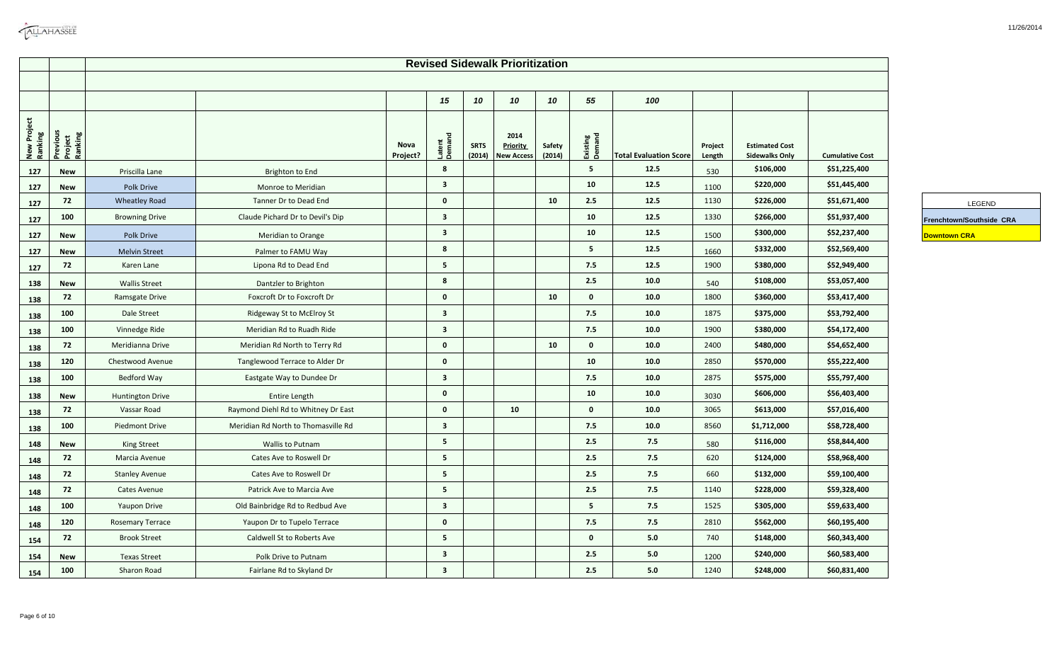|                        |                                |                         |                                     |                  |                         |                       | <b>Revised Sidewalk Prioritization</b>       |                  |                    |                               |                   |                                                |                        |                          |
|------------------------|--------------------------------|-------------------------|-------------------------------------|------------------|-------------------------|-----------------------|----------------------------------------------|------------------|--------------------|-------------------------------|-------------------|------------------------------------------------|------------------------|--------------------------|
|                        |                                |                         |                                     |                  |                         |                       |                                              |                  |                    |                               |                   |                                                |                        |                          |
|                        |                                |                         |                                     |                  | 15                      | 10                    | 10                                           | 10               | 55                 | 100                           |                   |                                                |                        |                          |
|                        |                                |                         |                                     |                  |                         |                       |                                              |                  |                    |                               |                   |                                                |                        |                          |
| New Project<br>Ranking | Previous<br>Project<br>Ranking |                         |                                     | Nova<br>Project? | Latent<br>Demand        | <b>SRTS</b><br>(2014) | 2014<br><b>Priority</b><br><b>New Access</b> | Safety<br>(2014) | Existing<br>Demand | <b>Total Evaluation Score</b> | Project<br>Length | <b>Estimated Cost</b><br><b>Sidewalks Only</b> | <b>Cumulative Cost</b> |                          |
| 127                    | New                            | Priscilla Lane          | Brighton to End                     |                  | 8                       |                       |                                              |                  | 5                  | 12.5                          | 530               | \$106,000                                      | \$51,225,400           |                          |
| 127                    | <b>New</b>                     | Polk Drive              | Monroe to Meridian                  |                  | $\overline{\mathbf{3}}$ |                       |                                              |                  | 10                 | 12.5                          | 1100              | \$220,000                                      | \$51,445,400           |                          |
| 127                    | 72                             | <b>Wheatley Road</b>    | Tanner Dr to Dead End               |                  | $\mathbf{0}$            |                       |                                              | 10               | 2.5                | 12.5                          | 1130              | \$226,000                                      | \$51,671,400           |                          |
| 127                    | 100                            | <b>Browning Drive</b>   | Claude Pichard Dr to Devil's Dip    |                  | $\overline{\mathbf{3}}$ |                       |                                              |                  | 10                 | 12.5                          | 1330              | \$266,000                                      | \$51,937,400           | Frenchtown/Southside CRA |
| 127                    | New                            | Polk Drive              | Meridian to Orange                  |                  | $\overline{\mathbf{3}}$ |                       |                                              |                  | 10                 | 12.5                          | 1500              | \$300,000                                      | \$52,237,400           | <b>Downtown CRA</b>      |
| 127                    | <b>New</b>                     | <b>Melvin Street</b>    | Palmer to FAMU Way                  |                  | 8                       |                       |                                              |                  | 5                  | 12.5                          | 1660              | \$332,000                                      | \$52,569,400           |                          |
| 127                    | 72                             | Karen Lane              | Lipona Rd to Dead End               |                  | 5                       |                       |                                              |                  | 7.5                | 12.5                          | 1900              | \$380,000                                      | \$52,949,400           |                          |
| 138                    | <b>New</b>                     | <b>Wallis Street</b>    | Dantzler to Brighton                |                  | 8                       |                       |                                              |                  | 2.5                | 10.0                          | 540               | \$108,000                                      | \$53,057,400           |                          |
| 138                    | 72                             | Ramsgate Drive          | Foxcroft Dr to Foxcroft Dr          |                  | $\mathbf{0}$            |                       |                                              | 10               | $\mathbf{0}$       | 10.0                          | 1800              | \$360,000                                      | \$53,417,400           |                          |
| 138                    | 100                            | Dale Street             | Ridgeway St to McElroy St           |                  | $\overline{\mathbf{3}}$ |                       |                                              |                  | 7.5                | 10.0                          | 1875              | \$375,000                                      | \$53,792,400           |                          |
| 138                    | 100                            | Vinnedge Ride           | Meridian Rd to Ruadh Ride           |                  | $\overline{\mathbf{3}}$ |                       |                                              |                  | 7.5                | 10.0                          | 1900              | \$380,000                                      | \$54,172,400           |                          |
| 138                    | 72                             | Meridianna Drive        | Meridian Rd North to Terry Rd       |                  | $\mathbf 0$             |                       |                                              | 10               | $\mathbf 0$        | 10.0                          | 2400              | \$480,000                                      | \$54,652,400           |                          |
| 138                    | 120                            | Chestwood Avenue        | Tanglewood Terrace to Alder Dr      |                  | $\mathbf{0}$            |                       |                                              |                  | 10                 | 10.0                          | 2850              | \$570,000                                      | \$55,222,400           |                          |
| 138                    | 100                            | Bedford Way             | Eastgate Way to Dundee Dr           |                  | $\overline{\mathbf{3}}$ |                       |                                              |                  | 7.5                | 10.0                          | 2875              | \$575,000                                      | \$55,797,400           |                          |
| 138                    | New                            | <b>Huntington Drive</b> | Entire Length                       |                  | $\bf{0}$                |                       |                                              |                  | 10                 | 10.0                          | 3030              | \$606,000                                      | \$56,403,400           |                          |
| 138                    | 72                             | Vassar Road             | Raymond Diehl Rd to Whitney Dr East |                  | $\bf{0}$                |                       | 10                                           |                  | $\mathbf 0$        | 10.0                          | 3065              | \$613,000                                      | \$57,016,400           |                          |
| 138                    | 100                            | <b>Piedmont Drive</b>   | Meridian Rd North to Thomasville Rd |                  | $\overline{\mathbf{3}}$ |                       |                                              |                  | 7.5                | 10.0                          | 8560              | \$1,712,000                                    | \$58,728,400           |                          |
| 148                    | New                            | King Street             | <b>Wallis to Putnam</b>             |                  | 5                       |                       |                                              |                  | 2.5                | 7.5                           | 580               | \$116,000                                      | \$58,844,400           |                          |
| 148                    | 72                             | Marcia Avenue           | Cates Ave to Roswell Dr             |                  | 5                       |                       |                                              |                  | 2.5                | 7.5                           | 620               | \$124,000                                      | \$58,968,400           |                          |
| 148                    | 72                             | <b>Stanley Avenue</b>   | Cates Ave to Roswell Dr             |                  | 5                       |                       |                                              |                  | 2.5                | 7.5                           | 660               | \$132,000                                      | \$59,100,400           |                          |
| 148                    | 72                             | Cates Avenue            | Patrick Ave to Marcia Ave           |                  | 5                       |                       |                                              |                  | 2.5                | 7.5                           | 1140              | \$228,000                                      | \$59,328,400           |                          |
| 148                    | 100                            | <b>Yaupon Drive</b>     | Old Bainbridge Rd to Redbud Ave     |                  | $\overline{\mathbf{3}}$ |                       |                                              |                  | 5                  | 7.5                           | 1525              | \$305,000                                      | \$59,633,400           |                          |
| 148                    | 120                            | <b>Rosemary Terrace</b> | Yaupon Dr to Tupelo Terrace         |                  | $\mathbf{0}$            |                       |                                              |                  | 7.5                | 7.5                           | 2810              | \$562,000                                      | \$60,195,400           |                          |
| 154                    | 72                             | <b>Brook Street</b>     | Caldwell St to Roberts Ave          |                  | 5                       |                       |                                              |                  | $\mathbf 0$        | 5.0                           | 740               | \$148,000                                      | \$60,343,400           |                          |
| 154                    | <b>New</b>                     | <b>Texas Street</b>     | Polk Drive to Putnam                |                  | $\overline{\mathbf{3}}$ |                       |                                              |                  | 2.5                | 5.0                           | 1200              | \$240,000                                      | \$60,583,400           |                          |
| 154                    | 100                            | Sharon Road             | Fairlane Rd to Skyland Dr           |                  | $\overline{\mathbf{3}}$ |                       |                                              |                  | 2.5                | 5.0                           | 1240              | \$248,000                                      | \$60,831,400           |                          |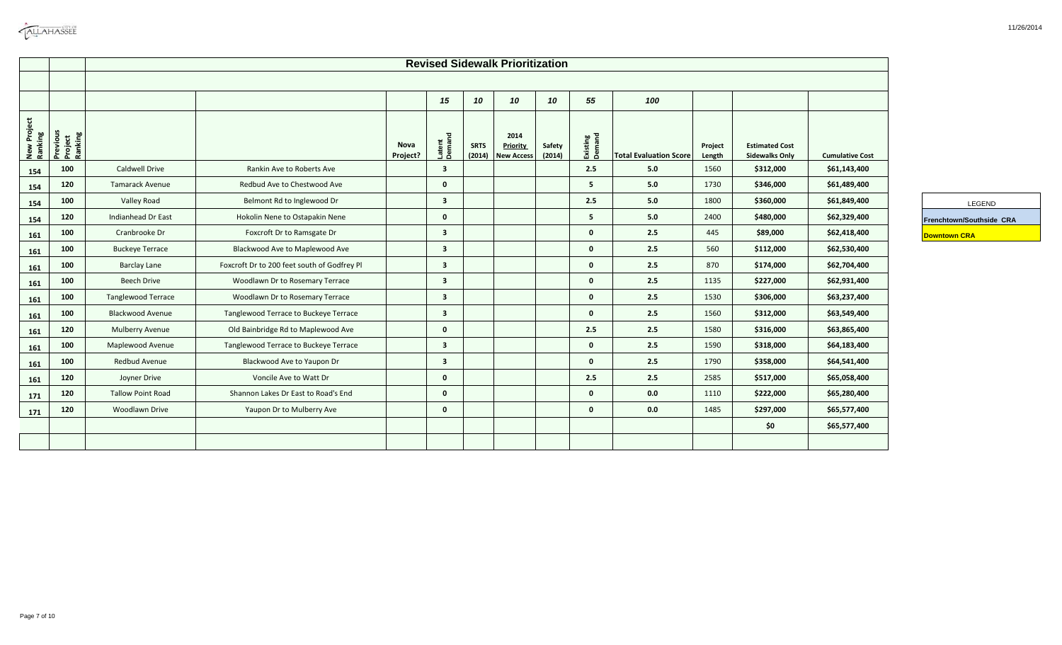| <b>CALLAHASSEE</b> |
|--------------------|
|                    |

۳

|                        |                                |                           |                                             |                  |                         |                       | <b>Revised Sidewalk Prioritization</b>       |                  |                    |                               |                   |                                                |                        |                          |
|------------------------|--------------------------------|---------------------------|---------------------------------------------|------------------|-------------------------|-----------------------|----------------------------------------------|------------------|--------------------|-------------------------------|-------------------|------------------------------------------------|------------------------|--------------------------|
|                        |                                |                           |                                             |                  |                         |                       |                                              |                  |                    |                               |                   |                                                |                        |                          |
|                        |                                |                           |                                             |                  | 15                      | 10                    | 10                                           | 10               | 55                 | 100                           |                   |                                                |                        |                          |
| New Project<br>Ranking | Previous<br>Project<br>Ranking |                           |                                             | Nova<br>Project? | Latent<br>Demand        | <b>SRTS</b><br>(2014) | 2014<br><b>Priority</b><br><b>New Access</b> | Safety<br>(2014) | Existing<br>Demand | <b>Total Evaluation Score</b> | Project<br>Length | <b>Estimated Cost</b><br><b>Sidewalks Only</b> | <b>Cumulative Cost</b> |                          |
| 154                    | 100                            | Caldwell Drive            | Rankin Ave to Roberts Ave                   |                  | $\overline{\mathbf{3}}$ |                       |                                              |                  | 2.5                | 5.0                           | 1560              | \$312,000                                      | \$61,143,400           |                          |
| 154                    | 120                            | <b>Tamarack Avenue</b>    | Redbud Ave to Chestwood Ave                 |                  | $\mathbf{0}$            |                       |                                              |                  | 5                  | 5.0                           | 1730              | \$346,000                                      | \$61,489,400           |                          |
| 154                    | 100                            | Valley Road               | Belmont Rd to Inglewood Dr                  |                  | $\overline{\mathbf{3}}$ |                       |                                              |                  | 2.5                | 5.0                           | 1800              | \$360,000                                      | \$61,849,400           |                          |
| 154                    | 120                            | Indianhead Dr East        | Hokolin Nene to Ostapakin Nene              |                  | $\mathbf{0}$            |                       |                                              |                  | 5                  | 5.0                           | 2400              | \$480,000                                      | \$62,329,400           | Frenchtown/Southside CRA |
| 161                    | 100                            | Cranbrooke Dr             | Foxcroft Dr to Ramsgate Dr                  |                  | $\overline{\mathbf{3}}$ |                       |                                              |                  | $\mathbf{0}$       | 2.5                           | 445               | \$89,000                                       | \$62,418,400           | <b>Downtown CRA</b>      |
| 161                    | 100                            | <b>Buckeye Terrace</b>    | Blackwood Ave to Maplewood Ave              |                  | $\overline{\mathbf{3}}$ |                       |                                              |                  | $\mathbf{0}$       | 2.5                           | 560               | \$112,000                                      | \$62,530,400           |                          |
| 161                    | 100                            | <b>Barclay Lane</b>       | Foxcroft Dr to 200 feet south of Godfrey Pl |                  | $\overline{\mathbf{3}}$ |                       |                                              |                  | $\mathbf{0}$       | 2.5                           | 870               | \$174,000                                      | \$62,704,400           |                          |
| 161                    | 100                            | <b>Beech Drive</b>        | Woodlawn Dr to Rosemary Terrace             |                  | $\overline{\mathbf{3}}$ |                       |                                              |                  | $\mathbf{0}$       | 2.5                           | 1135              | \$227,000                                      | \$62,931,400           |                          |
| 161                    | 100                            | <b>Tanglewood Terrace</b> | Woodlawn Dr to Rosemary Terrace             |                  | $\overline{\mathbf{3}}$ |                       |                                              |                  | $\mathbf{0}$       | 2.5                           | 1530              | \$306,000                                      | \$63,237,400           |                          |
| 161                    | 100                            | <b>Blackwood Avenue</b>   | Tanglewood Terrace to Buckeye Terrace       |                  | $\overline{\mathbf{3}}$ |                       |                                              |                  | $\mathbf{0}$       | 2.5                           | 1560              | \$312,000                                      | \$63,549,400           |                          |
| 161                    | 120                            | Mulberry Avenue           | Old Bainbridge Rd to Maplewood Ave          |                  | $\mathbf{0}$            |                       |                                              |                  | 2.5                | 2.5                           | 1580              | \$316,000                                      | \$63,865,400           |                          |
| 161                    | 100                            | Maplewood Avenue          | Tanglewood Terrace to Buckeye Terrace       |                  | $\overline{\mathbf{3}}$ |                       |                                              |                  | $\mathbf{0}$       | 2.5                           | 1590              | \$318,000                                      | \$64,183,400           |                          |
| 161                    | 100                            | Redbud Avenue             | Blackwood Ave to Yaupon Dr                  |                  | $\overline{\mathbf{3}}$ |                       |                                              |                  | $\mathbf{0}$       | 2.5                           | 1790              | \$358,000                                      | \$64,541,400           |                          |
| 161                    | 120                            | Joyner Drive              | Voncile Ave to Watt Dr                      |                  | $\mathbf{0}$            |                       |                                              |                  | 2.5                | 2.5                           | 2585              | \$517,000                                      | \$65,058,400           |                          |
| 171                    | 120                            | <b>Tallow Point Road</b>  | Shannon Lakes Dr East to Road's End         |                  | $\mathbf{0}$            |                       |                                              |                  | $\mathbf{0}$       | 0.0                           | 1110              | \$222,000                                      | \$65,280,400           |                          |
| 171                    | 120                            | Woodlawn Drive            | Yaupon Dr to Mulberry Ave                   |                  | $\mathbf{0}$            |                       |                                              |                  | $\mathbf{0}$       | 0.0                           | 1485              | \$297,000                                      | \$65,577,400           |                          |
|                        |                                |                           |                                             |                  |                         |                       |                                              |                  |                    |                               |                   | \$0                                            | \$65,577,400           |                          |
|                        |                                |                           |                                             |                  |                         |                       |                                              |                  |                    |                               |                   |                                                |                        |                          |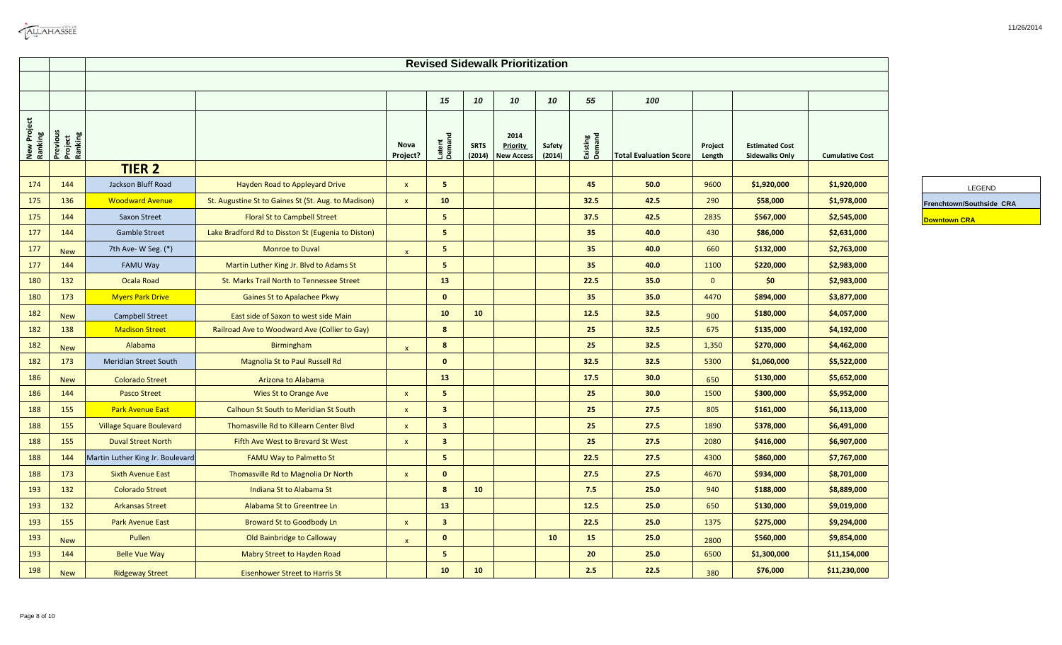|                        |                                | <b>Revised Sidewalk Prioritization</b> |                                                     |                  |                         |                       |                                              |                  |                    |                               |                   |                                                |                        |                          |
|------------------------|--------------------------------|----------------------------------------|-----------------------------------------------------|------------------|-------------------------|-----------------------|----------------------------------------------|------------------|--------------------|-------------------------------|-------------------|------------------------------------------------|------------------------|--------------------------|
|                        |                                |                                        |                                                     |                  | 15                      | 10                    | 10                                           | 10               | 55                 | 100                           |                   |                                                |                        |                          |
| New Project<br>Ranking | Previous<br>Project<br>Ranking |                                        |                                                     | Nova<br>Project? | Latent<br>Demand        | <b>SRTS</b><br>(2014) | 2014<br><b>Priority</b><br><b>New Access</b> | Safety<br>(2014) | Existing<br>Demand | <b>Total Evaluation Score</b> | Project<br>Length | <b>Estimated Cost</b><br><b>Sidewalks Only</b> | <b>Cumulative Cost</b> |                          |
|                        |                                | <b>TIER 2</b>                          |                                                     |                  |                         |                       |                                              |                  |                    |                               |                   |                                                |                        |                          |
| 174                    | 144                            | Jackson Bluff Road                     | Hayden Road to Appleyard Drive                      | $\mathbf{x}$     | 5 <sub>1</sub>          |                       |                                              |                  | 45                 | 50.0                          | 9600              | \$1,920,000                                    | \$1,920,000            | LEGEND                   |
| 175                    | 136                            | <b>Woodward Avenue</b>                 | St. Augustine St to Gaines St (St. Aug. to Madison) | $\mathbf{x}$     | 10                      |                       |                                              |                  | 32.5               | 42.5                          | 290               | \$58,000                                       | \$1,978,000            | Frenchtown/Southside CRA |
| 175                    | 144                            | <b>Saxon Street</b>                    | <b>Floral St to Campbell Street</b>                 |                  | 5 <sup>2</sup>          |                       |                                              |                  | 37.5               | 42.5                          | 2835              | \$567,000                                      | \$2,545,000            | <b>Downtown CRA</b>      |
| 177                    | 144                            | <b>Gamble Street</b>                   | Lake Bradford Rd to Disston St (Eugenia to Diston)  |                  | 5 <sub>1</sub>          |                       |                                              |                  | 35                 | 40.0                          | 430               | \$86,000                                       | \$2,631,000            |                          |
| 177                    | <b>New</b>                     | 7th Ave- W Seg. (*)                    | <b>Monroe to Duval</b>                              | $\mathbf{x}$     | 5 <sub>1</sub>          |                       |                                              |                  | 35                 | 40.0                          | 660               | \$132,000                                      | \$2,763,000            |                          |
| 177                    | 144                            | FAMU Way                               | Martin Luther King Jr. Blvd to Adams St             |                  | 5 <sup>2</sup>          |                       |                                              |                  | 35                 | 40.0                          | 1100              | \$220,000                                      | \$2,983,000            |                          |
| 180                    | 132                            | Ocala Road                             | St. Marks Trail North to Tennessee Street           |                  | 13                      |                       |                                              |                  | 22.5               | 35.0                          | $\mathbf{0}$      | \$0                                            | \$2,983,000            |                          |
| 180                    | 173                            | <b>Myers Park Drive</b>                | Gaines St to Apalachee Pkwy                         |                  | $\mathbf 0$             |                       |                                              |                  | 35                 | 35.0                          | 4470              | \$894,000                                      | \$3,877,000            |                          |
| 182                    | <b>New</b>                     | Campbell Street                        | East side of Saxon to west side Main                |                  | 10                      | 10                    |                                              |                  | 12.5               | 32.5                          | 900               | \$180,000                                      | \$4,057,000            |                          |
| 182                    | 138                            | <b>Madison Street</b>                  | Railroad Ave to Woodward Ave (Collier to Gay)       |                  | 8                       |                       |                                              |                  | 25                 | 32.5                          | 675               | \$135,000                                      | \$4,192,000            |                          |
| 182                    | <b>New</b>                     | Alabama                                | <b>Birmingham</b>                                   | $\mathbf{x}$     | 8                       |                       |                                              |                  | 25                 | 32.5                          | 1,350             | \$270,000                                      | \$4,462,000            |                          |
| 182                    | 173                            | <b>Meridian Street South</b>           | Magnolia St to Paul Russell Rd                      |                  | $\mathbf{0}$            |                       |                                              |                  | 32.5               | 32.5                          | 5300              | \$1,060,000                                    | \$5,522,000            |                          |
| 186                    | <b>New</b>                     | <b>Colorado Street</b>                 | Arizona to Alabama                                  |                  | 13                      |                       |                                              |                  | 17.5               | 30.0                          | 650               | \$130,000                                      | \$5,652,000            |                          |
| 186                    | 144                            | <b>Pasco Street</b>                    | Wies St to Orange Ave                               | $\mathsf{x}$     | 5 <sub>1</sub>          |                       |                                              |                  | 25                 | 30.0                          | 1500              | \$300,000                                      | \$5,952,000            |                          |
| 188                    | 155                            | <b>Park Avenue East</b>                | <b>Calhoun St South to Meridian St South</b>        | $\mathbf{x}$     | 3 <sup>1</sup>          |                       |                                              |                  | 25                 | 27.5                          | 805               | \$161,000                                      | \$6,113,000            |                          |
| 188                    | 155                            | <b>Village Square Boulevard</b>        | Thomasville Rd to Killearn Center Blvd              | $\mathsf{x}$     | $\overline{\mathbf{3}}$ |                       |                                              |                  | 25                 | 27.5                          | 1890              | \$378,000                                      | \$6,491,000            |                          |
| 188                    | 155                            | <b>Duval Street North</b>              | Fifth Ave West to Brevard St West                   | $\mathsf{x}$     | $\mathbf{3}$            |                       |                                              |                  | 25                 | 27.5                          | 2080              | \$416,000                                      | \$6,907,000            |                          |
| 188                    | 144                            | Martin Luther King Jr. Boulevard       | <b>FAMU Way to Palmetto St</b>                      |                  | 5 <sub>1</sub>          |                       |                                              |                  | 22.5               | 27.5                          | 4300              | \$860,000                                      | \$7,767,000            |                          |
| 188                    | 173                            | <b>Sixth Avenue East</b>               | Thomasville Rd to Magnolia Dr North                 | $\mathsf{x}$     | $\mathbf{0}$            |                       |                                              |                  | 27.5               | 27.5                          | 4670              | \$934,000                                      | \$8,701,000            |                          |
| 193                    | 132                            | <b>Colorado Street</b>                 | Indiana St to Alabama St                            |                  | 8                       | 10                    |                                              |                  | 7.5                | 25.0                          | 940               | \$188,000                                      | \$8,889,000            |                          |
| 193                    | 132                            | <b>Arkansas Street</b>                 | Alabama St to Greentree Ln                          |                  | 13                      |                       |                                              |                  | 12.5               | 25.0                          | 650               | \$130,000                                      | \$9,019,000            |                          |
| 193                    | 155                            | <b>Park Avenue East</b>                | <b>Broward St to Goodbody Ln</b>                    | $\mathbf{x}$     | $\overline{\mathbf{3}}$ |                       |                                              |                  | 22.5               | 25.0                          | 1375              | \$275,000                                      | \$9,294,000            |                          |
| 193                    | <b>New</b>                     | Pullen                                 | Old Bainbridge to Calloway                          | $\mathsf{x}$     | $\mathbf{0}$            |                       |                                              | 10               | 15                 | 25.0                          | 2800              | \$560,000                                      | \$9,854,000            |                          |
| 193                    | 144                            | <b>Belle Vue Way</b>                   | Mabry Street to Hayden Road                         |                  | 5 <sup>2</sup>          |                       |                                              |                  | 20                 | 25.0                          | 6500              | \$1,300,000                                    | \$11,154,000           |                          |
| 198                    | <b>New</b>                     | <b>Ridgeway Street</b>                 | <b>Eisenhower Street to Harris St</b>               |                  | 10                      | 10                    |                                              |                  | 2.5                | 22.5                          | 380               | \$76,000                                       | \$11,230,000           |                          |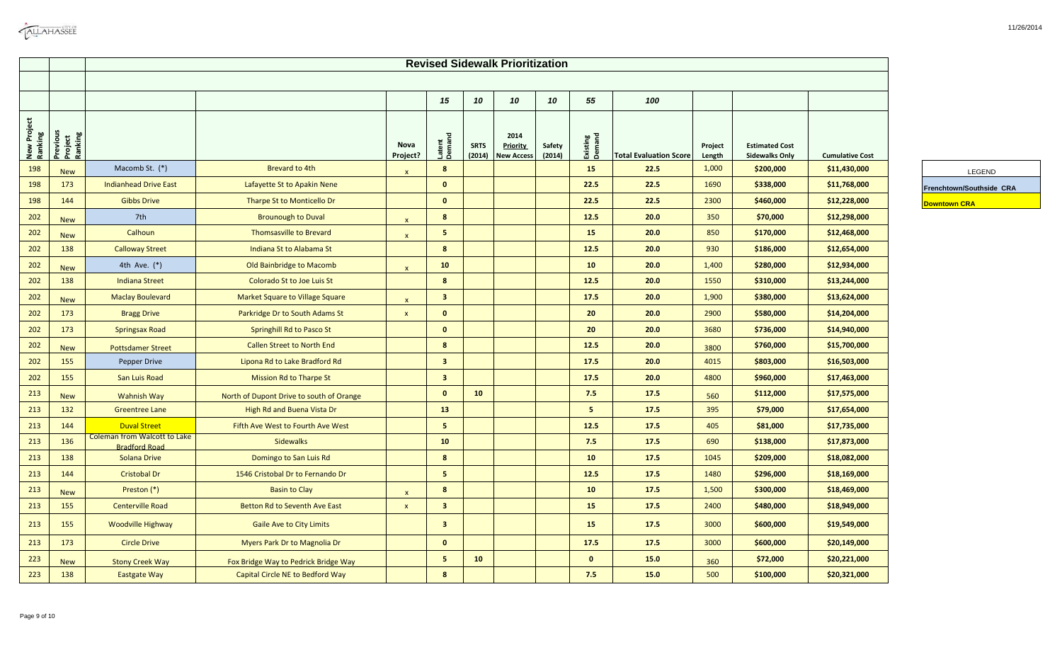|                        | <b>Revised Sidewalk Prioritization</b> |                                                             |                                          |                  |                         |                       |                                              |                  |                    |                               |                   |                                                |                        |                          |
|------------------------|----------------------------------------|-------------------------------------------------------------|------------------------------------------|------------------|-------------------------|-----------------------|----------------------------------------------|------------------|--------------------|-------------------------------|-------------------|------------------------------------------------|------------------------|--------------------------|
|                        |                                        |                                                             |                                          |                  |                         |                       |                                              |                  |                    |                               |                   |                                                |                        |                          |
|                        |                                        |                                                             |                                          |                  | 15                      | 10                    | 10                                           | 10               | 55                 | 100                           |                   |                                                |                        |                          |
| New Project<br>Ranking | Previous<br>Project<br>Ranking         |                                                             |                                          | Nova<br>Project? | Latent<br>Demand        | <b>SRTS</b><br>(2014) | 2014<br><b>Priority</b><br><b>New Access</b> | Safety<br>(2014) | Existing<br>Demand | <b>Total Evaluation Score</b> | Project<br>Length | <b>Estimated Cost</b><br><b>Sidewalks Only</b> | <b>Cumulative Cost</b> |                          |
| 198                    | <b>New</b>                             | Macomb St. (*)                                              | Brevard to 4th                           | $\mathbf{x}$     | 8                       |                       |                                              |                  | 15                 | 22.5                          | 1,000             | \$200,000                                      | \$11,430,000           | LEGEND                   |
| 198                    | 173                                    | <b>Indianhead Drive East</b>                                | Lafayette St to Apakin Nene              |                  | $\mathbf{0}$            |                       |                                              |                  | 22.5               | 22.5                          | 1690              | \$338,000                                      | \$11,768,000           | Frenchtown/Southside CRA |
| 198                    | 144                                    | <b>Gibbs Drive</b>                                          | Tharpe St to Monticello Dr               |                  | $\mathbf{0}$            |                       |                                              |                  | 22.5               | 22.5                          | 2300              | \$460,000                                      | \$12,228,000           | <b>Downtown CRA</b>      |
| 202                    | <b>New</b>                             | 7th                                                         | <b>Brounough to Duval</b>                | $\mathsf{x}$     | 8                       |                       |                                              |                  | 12.5               | 20.0                          | 350               | \$70,000                                       | \$12,298,000           |                          |
| 202                    | <b>New</b>                             | Calhoun                                                     | <b>Thomsasville to Brevard</b>           | $\mathsf{x}$     | $\overline{\mathbf{5}}$ |                       |                                              |                  | 15                 | 20.0                          | 850               | \$170,000                                      | \$12,468,000           |                          |
| 202                    | 138                                    | <b>Calloway Street</b>                                      | Indiana St to Alabama St                 |                  | 8                       |                       |                                              |                  | 12.5               | 20.0                          | 930               | \$186,000                                      | \$12,654,000           |                          |
| 202                    | <b>New</b>                             | 4th Ave. (*)                                                | Old Bainbridge to Macomb                 | $\mathbf{x}$     | 10                      |                       |                                              |                  | 10                 | 20.0                          | 1,400             | \$280,000                                      | \$12,934,000           |                          |
| 202                    | 138                                    | <b>Indiana Street</b>                                       | Colorado St to Joe Luis St               |                  | $\boldsymbol{8}$        |                       |                                              |                  | 12.5               | 20.0                          | 1550              | \$310,000                                      | \$13,244,000           |                          |
| 202                    | <b>New</b>                             | <b>Maclay Boulevard</b>                                     | Market Square to Village Square          | $\mathsf{x}$     | 3 <sup>2</sup>          |                       |                                              |                  | 17.5               | 20.0                          | 1,900             | \$380,000                                      | \$13,624,000           |                          |
| 202                    | 173                                    | <b>Bragg Drive</b>                                          | Parkridge Dr to South Adams St           | $\mathbf{x}$     | $\mathbf{0}$            |                       |                                              |                  | 20                 | 20.0                          | 2900              | \$580,000                                      | \$14,204,000           |                          |
| 202                    | 173                                    | <b>Springsax Road</b>                                       | <b>Springhill Rd to Pasco St</b>         |                  | $\mathbf{0}$            |                       |                                              |                  | 20                 | 20.0                          | 3680              | \$736,000                                      | \$14,940,000           |                          |
| 202                    | <b>New</b>                             | <b>Pottsdamer Street</b>                                    | <b>Callen Street to North End</b>        |                  | $\boldsymbol{8}$        |                       |                                              |                  | 12.5               | 20.0                          | 3800              | \$760,000                                      | \$15,700,000           |                          |
| 202                    | 155                                    | Pepper Drive                                                | Lipona Rd to Lake Bradford Rd            |                  | 3 <sup>2</sup>          |                       |                                              |                  | 17.5               | 20.0                          | 4015              | \$803,000                                      | \$16,503,000           |                          |
| 202                    | 155                                    | San Luis Road                                               | <b>Mission Rd to Tharpe St</b>           |                  | 3 <sup>2</sup>          |                       |                                              |                  | 17.5               | 20.0                          | 4800              | \$960,000                                      | \$17,463,000           |                          |
| 213                    | <b>New</b>                             | <b>Wahnish Way</b>                                          | North of Dupont Drive to south of Orange |                  | $\mathbf{0}$            | 10                    |                                              |                  | 7.5                | 17.5                          | 560               | \$112,000                                      | \$17,575,000           |                          |
| 213                    | 132                                    | <b>Greentree Lane</b>                                       | High Rd and Buena Vista Dr               |                  | 13                      |                       |                                              |                  | 5 <sub>1</sub>     | 17.5                          | 395               | \$79,000                                       | \$17,654,000           |                          |
| 213                    | 144                                    | <b>Duval Street</b>                                         | Fifth Ave West to Fourth Ave West        |                  | 5 <sub>1</sub>          |                       |                                              |                  | 12.5               | 17.5                          | 405               | \$81,000                                       | \$17,735,000           |                          |
| 213                    | 136                                    | <b>Coleman from Walcott to Lake</b><br><b>Bradford Road</b> | <b>Sidewalks</b>                         |                  | 10                      |                       |                                              |                  | 7.5                | 17.5                          | 690               | \$138,000                                      | \$17,873,000           |                          |
| 213                    | 138                                    | Solana Drive                                                | Domingo to San Luis Rd                   |                  | $\boldsymbol{8}$        |                       |                                              |                  | 10                 | 17.5                          | 1045              | \$209,000                                      | \$18,082,000           |                          |
| 213                    | 144                                    | <b>Cristobal Dr</b>                                         | 1546 Cristobal Dr to Fernando Dr         |                  | $\overline{\mathbf{5}}$ |                       |                                              |                  | 12.5               | 17.5                          | 1480              | \$296,000                                      | \$18,169,000           |                          |
| 213                    | <b>New</b>                             | Preston (*)                                                 | <b>Basin to Clay</b>                     | $\mathsf{x}$     | $\boldsymbol{8}$        |                       |                                              |                  | 10                 | 17.5                          | 1,500             | \$300,000                                      | \$18,469,000           |                          |
| 213                    | 155                                    | <b>Centerville Road</b>                                     | Betton Rd to Seventh Ave East            | $\mathsf{x}$     | $\overline{\mathbf{3}}$ |                       |                                              |                  | 15                 | 17.5                          | 2400              | \$480,000                                      | \$18,949,000           |                          |
| 213                    | 155                                    | <b>Woodville Highway</b>                                    | <b>Gaile Ave to City Limits</b>          |                  | $\overline{\mathbf{3}}$ |                       |                                              |                  | 15                 | 17.5                          | 3000              | \$600,000                                      | \$19,549,000           |                          |
| 213                    | 173                                    | <b>Circle Drive</b>                                         | Myers Park Dr to Magnolia Dr             |                  | $\mathbf{0}$            |                       |                                              |                  | 17.5               | 17.5                          | 3000              | \$600,000                                      | \$20,149,000           |                          |
| 223                    | <b>New</b>                             | <b>Stony Creek Way</b>                                      | Fox Bridge Way to Pedrick Bridge Way     |                  | $\,$ 5 $\,$             | 10                    |                                              |                  | $\mathbf{0}$       | 15.0                          | 360               | \$72,000                                       | \$20,221,000           |                          |
| 223                    | 138                                    | <b>Eastgate Way</b>                                         | Capital Circle NE to Bedford Way         |                  | $\boldsymbol{8}$        |                       |                                              |                  | 7.5                | 15.0                          | 500               | \$100,000                                      | \$20,321,000           |                          |